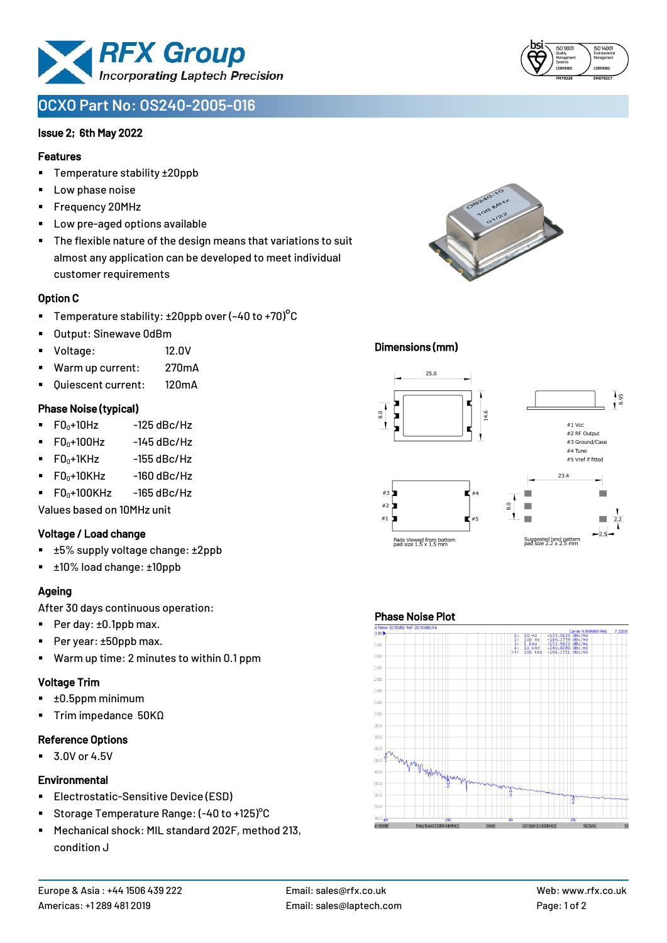

# **OCXO Part No: OS240-2005-016**

#### Issue 2; 6th May 2022

#### Features

- Temperature stability ±20ppb
- Low phase noise
- Frequency 20MHz
- Low pre-aged options available
- The flexible nature of the design means that variations to suit almost any application can be developed to meet individual customer requirements

#### Option C

- **•** Temperature stability:  $\pm 20$ ppb over (-40 to +70)<sup>o</sup>C
- Output: Sinewave 0dBm
- Voltage: 12.0V
- Warm up current: 270mA
- Quiescent current: 120mA

#### Phase Noise (typical)

- $\blacksquare$  F0 $\scriptstyle\bullet$ +10Hz -125 dBc/Hz
- $F0_0+100$ Hz  $-145$  dBc/Hz
- $F0_0+1$ KHz  $-155$  dBc/Hz
- $F0_0+10K$ Hz  $-160$  dBc/Hz
- $\blacksquare$  F0 $\scriptstyle\bullet$ +100KHz -165 dBc/Hz

Values based on 10MHz unit

#### Voltage / Load change

- ±5% supply voltage change: ±2ppb
- ±10% load change: ±10ppb

#### Ageing

After 30 days continuous operation:

- Per day: ±0.1ppb max.
- Per year: ±50ppb max.
- Warm up time: 2 minutes to within 0.1 ppm

#### Voltage Trim

- $\blacksquare$   $\pm 0.5$ ppm minimum
- Trim impedance 50KΩ

#### Reference Options

 $\blacksquare$  3.0V or 4.5V

#### **Environmental**

- **Electrostatic-Sensitive Device (ESD)**
- Storage Temperature Range: (-40 to +125)°C
- Mechanical shock: MIL standard 202F, method 213, condition J

# Dimensions (mm)



#### Phase Noise Plot